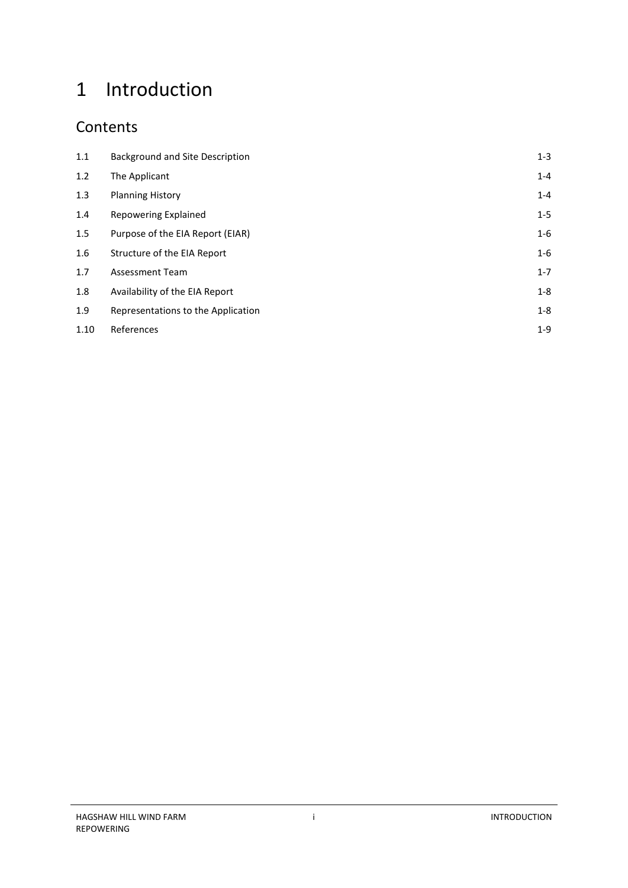# 1 Introduction

# **Contents**

| 1.1     | Background and Site Description    | $1 - 3$ |
|---------|------------------------------------|---------|
| 1.2     | The Applicant                      | $1 - 4$ |
| 1.3     | <b>Planning History</b>            | $1 - 4$ |
| 1.4     | Repowering Explained               | $1 - 5$ |
| 1.5     | Purpose of the EIA Report (EIAR)   | $1 - 6$ |
| $1.6\,$ | Structure of the EIA Report        | $1 - 6$ |
| 1.7     | <b>Assessment Team</b>             | $1 - 7$ |
| 1.8     | Availability of the EIA Report     | $1 - 8$ |
| 1.9     | Representations to the Application | $1 - 8$ |
| 1.10    | References                         | $1-9$   |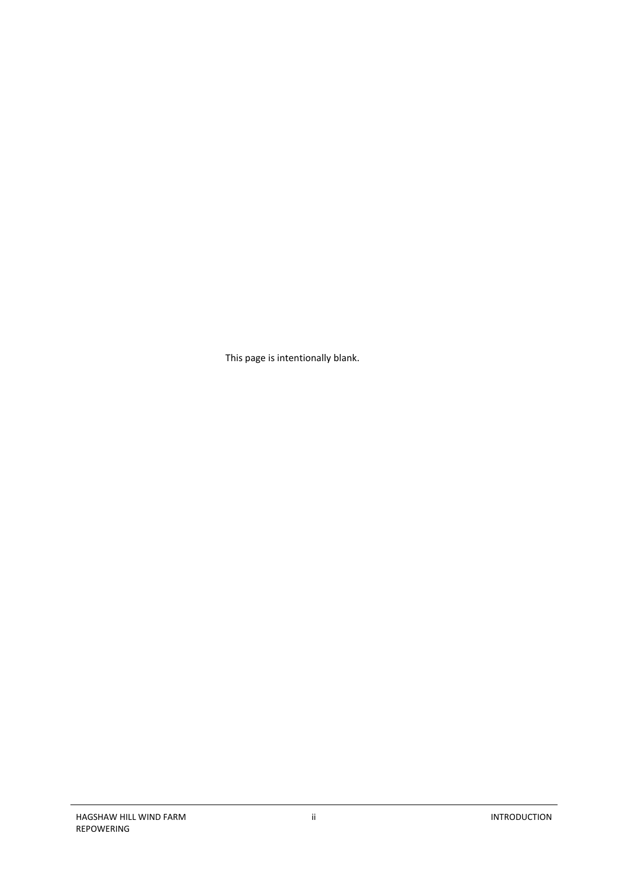This page is intentionally blank.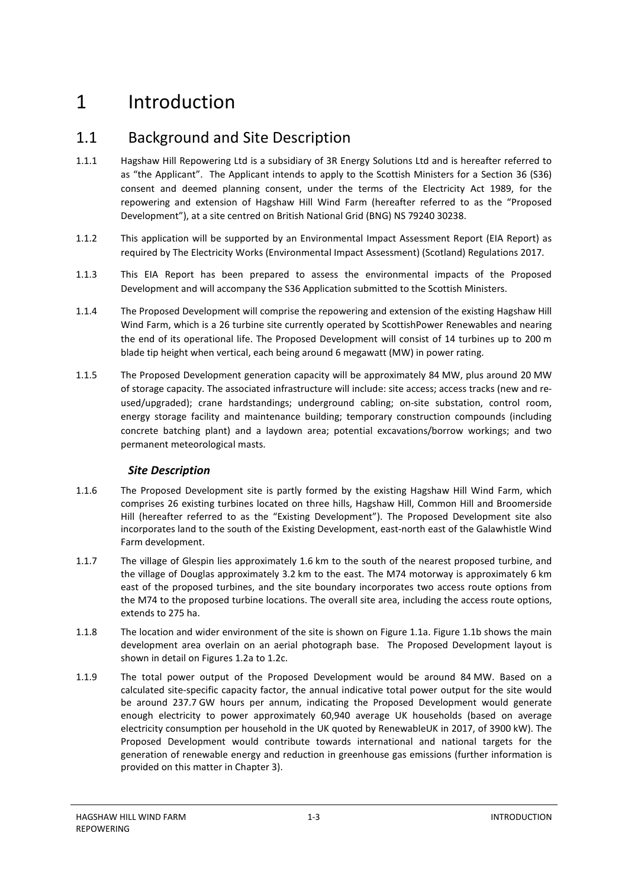# 1 Introduction

# <span id="page-2-0"></span>1.1 Background and Site Description

- 1.1.1 Hagshaw Hill Repowering Ltd is a subsidiary of 3R Energy Solutions Ltd and is hereafter referred to as "the Applicant". The Applicant intends to apply to the Scottish Ministers for a Section 36 (S36) consent and deemed planning consent, under the terms of the Electricity Act 1989, for the repowering and extension of Hagshaw Hill Wind Farm (hereafter referred to as the "Proposed Development"), at a site centred on British National Grid (BNG) NS 79240 30238.
- 1.1.2 This application will be supported by an Environmental Impact Assessment Report (EIA Report) as required by The Electricity Works (Environmental Impact Assessment) (Scotland) Regulations 2017.
- 1.1.3 This EIA Report has been prepared to assess the environmental impacts of the Proposed Development and will accompany the S36 Application submitted to the Scottish Ministers.
- 1.1.4 The Proposed Development will comprise the repowering and extension of the existing Hagshaw Hill Wind Farm, which is a 26 turbine site currently operated by ScottishPower Renewables and nearing the end of its operational life. The Proposed Development will consist of 14 turbines up to 200 m blade tip height when vertical, each being around 6 megawatt (MW) in power rating.
- 1.1.5 The Proposed Development generation capacity will be approximately 84 MW, plus around 20 MW of storage capacity. The associated infrastructure will include: site access; access tracks (new and reused/upgraded); crane hardstandings; underground cabling; on-site substation, control room, energy storage facility and maintenance building; temporary construction compounds (including concrete batching plant) and a laydown area; potential excavations/borrow workings; and two permanent meteorological masts.

#### *Site Description*

- 1.1.6 The Proposed Development site is partly formed by the existing Hagshaw Hill Wind Farm, which comprises 26 existing turbines located on three hills, Hagshaw Hill, Common Hill and Broomerside Hill (hereafter referred to as the "Existing Development"). The Proposed Development site also incorporates land to the south of the Existing Development, east-north east of the Galawhistle Wind Farm development.
- 1.1.7 The village of Glespin lies approximately 1.6 km to the south of the nearest proposed turbine, and the village of Douglas approximately 3.2 km to the east. The M74 motorway is approximately 6 km east of the proposed turbines, and the site boundary incorporates two access route options from the M74 to the proposed turbine locations. The overall site area, including the access route options, extends to 275 ha.
- 1.1.8 The location and wider environment of the site is shown on Figure 1.1a. Figure 1.1b shows the main development area overlain on an aerial photograph base. The Proposed Development layout is shown in detail on Figures 1.2a to 1.2c.
- 1.1.9 The total power output of the Proposed Development would be around 84 MW. Based on a calculated site-specific capacity factor, the annual indicative total power output for the site would be around 237.7 GW hours per annum, indicating the Proposed Development would generate enough electricity to power approximately 60,940 average UK households (based on average electricity consumption per household in the UK quoted by RenewableUK in 2017, of 3900 kW). The Proposed Development would contribute towards international and national targets for the generation of renewable energy and reduction in greenhouse gas emissions (further information is provided on this matter in Chapter 3).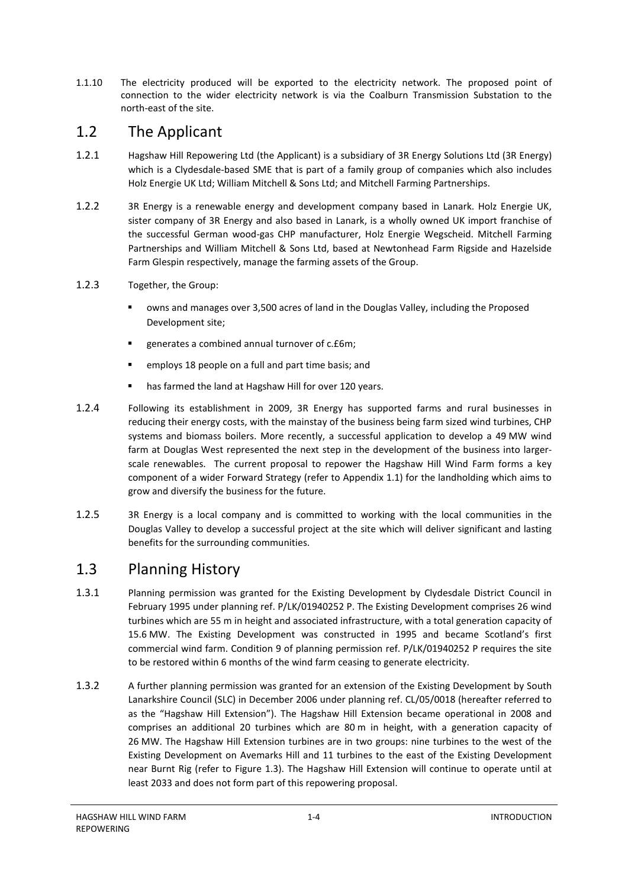1.1.10 The electricity produced will be exported to the electricity network. The proposed point of connection to the wider electricity network is via the Coalburn Transmission Substation to the north-east of the site.

#### <span id="page-3-0"></span>1.2 The Applicant

- 1.2.1 Hagshaw Hill Repowering Ltd (the Applicant) is a subsidiary of 3R Energy Solutions Ltd (3R Energy) which is a Clydesdale-based SME that is part of a family group of companies which also includes Holz Energie UK Ltd; William Mitchell & Sons Ltd; and Mitchell Farming Partnerships.
- 1.2.2 3R Energy is a renewable energy and development company based in Lanark. Holz Energie UK, sister company of 3R Energy and also based in Lanark, is a wholly owned UK import franchise of the successful German wood-gas CHP manufacturer, Holz Energie Wegscheid. Mitchell Farming Partnerships and William Mitchell & Sons Ltd, based at Newtonhead Farm Rigside and Hazelside Farm Glespin respectively, manage the farming assets of the Group.
- 1.2.3 Together, the Group:
	- owns and manages over 3,500 acres of land in the Douglas Valley, including the Proposed Development site;
	- generates a combined annual turnover of c.£6m;
	- employs 18 people on a full and part time basis; and
	- has farmed the land at Hagshaw Hill for over 120 years.
- 1.2.4 Following its establishment in 2009, 3R Energy has supported farms and rural businesses in reducing their energy costs, with the mainstay of the business being farm sized wind turbines, CHP systems and biomass boilers. More recently, a successful application to develop a 49 MW wind farm at Douglas West represented the next step in the development of the business into largerscale renewables. The current proposal to repower the Hagshaw Hill Wind Farm forms a key component of a wider Forward Strategy (refer to Appendix 1.1) for the landholding which aims to grow and diversify the business for the future.
- 1.2.5 3R Energy is a local company and is committed to working with the local communities in the Douglas Valley to develop a successful project at the site which will deliver significant and lasting benefits for the surrounding communities.

## <span id="page-3-1"></span>1.3 Planning History

- 1.3.1 Planning permission was granted for the Existing Development by Clydesdale District Council in February 1995 under planning ref. P/LK/01940252 P. The Existing Development comprises 26 wind turbines which are 55 m in height and associated infrastructure, with a total generation capacity of 15.6 MW. The Existing Development was constructed in 1995 and became Scotland's first commercial wind farm. Condition 9 of planning permission ref. P/LK/01940252 P requires the site to be restored within 6 months of the wind farm ceasing to generate electricity.
- 1.3.2 A further planning permission was granted for an extension of the Existing Development by South Lanarkshire Council (SLC) in December 2006 under planning ref. CL/05/0018 (hereafter referred to as the "Hagshaw Hill Extension"). The Hagshaw Hill Extension became operational in 2008 and comprises an additional 20 turbines which are 80 m in height, with a generation capacity of 26 MW. The Hagshaw Hill Extension turbines are in two groups: nine turbines to the west of the Existing Development on Avemarks Hill and 11 turbines to the east of the Existing Development near Burnt Rig (refer to Figure 1.3). The Hagshaw Hill Extension will continue to operate until at least 2033 and does not form part of this repowering proposal.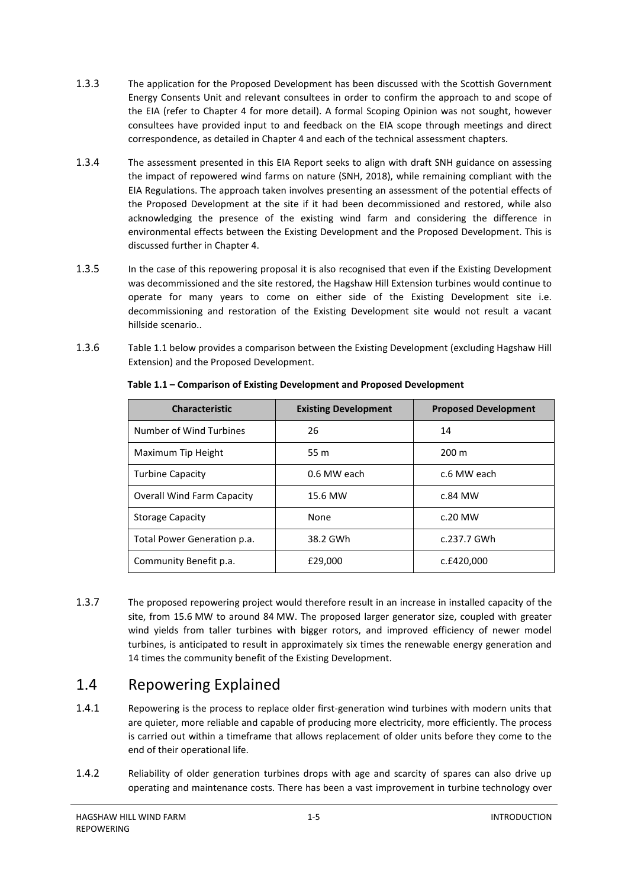- 1.3.3 The application for the Proposed Development has been discussed with the Scottish Government Energy Consents Unit and relevant consultees in order to confirm the approach to and scope of the EIA (refer to Chapter 4 for more detail). A formal Scoping Opinion was not sought, however consultees have provided input to and feedback on the EIA scope through meetings and direct correspondence, as detailed in Chapter 4 and each of the technical assessment chapters.
- 1.3.4 The assessment presented in this EIA Report seeks to align with draft SNH guidance on assessing the impact of repowered wind farms on nature (SNH, 2018), while remaining compliant with the EIA Regulations. The approach taken involves presenting an assessment of the potential effects of the Proposed Development at the site if it had been decommissioned and restored, while also acknowledging the presence of the existing wind farm and considering the difference in environmental effects between the Existing Development and the Proposed Development. This is discussed further in Chapter 4.
- 1.3.5 In the case of this repowering proposal it is also recognised that even if the Existing Development was decommissioned and the site restored, the Hagshaw Hill Extension turbines would continue to operate for many years to come on either side of the Existing Development site i.e. decommissioning and restoration of the Existing Development site would not result a vacant hillside scenario..
- 1.3.6 Table 1.1 below provides a comparison between the Existing Development (excluding Hagshaw Hill Extension) and the Proposed Development.

| <b>Characteristic</b>       | <b>Existing Development</b> | <b>Proposed Development</b> |
|-----------------------------|-----------------------------|-----------------------------|
| Number of Wind Turbines     | 26                          | 14                          |
| Maximum Tip Height          | 55 m                        | $200 \text{ m}$             |
| <b>Turbine Capacity</b>     | 0.6 MW each                 | c.6 MW each                 |
| Overall Wind Farm Capacity  | 15.6 MW                     | c.84 MW                     |
| <b>Storage Capacity</b>     | None                        | $c.20$ MW                   |
| Total Power Generation p.a. | 38.2 GWh                    | c.237.7 GWh                 |
| Community Benefit p.a.      | £29,000                     | c.£420,000                  |

#### **Table 1.1 – Comparison of Existing Development and Proposed Development**

1.3.7 The proposed repowering project would therefore result in an increase in installed capacity of the site, from 15.6 MW to around 84 MW. The proposed larger generator size, coupled with greater wind yields from taller turbines with bigger rotors, and improved efficiency of newer model turbines, is anticipated to result in approximately six times the renewable energy generation and 14 times the community benefit of the Existing Development.

## <span id="page-4-0"></span>1.4 Repowering Explained

- 1.4.1 Repowering is the process to replace older first-generation wind turbines with modern units that are quieter, more reliable and capable of producing more electricity, more efficiently. The process is carried out within a timeframe that allows replacement of older units before they come to the end of their operational life.
- 1.4.2 Reliability of older generation turbines drops with age and scarcity of spares can also drive up operating and maintenance costs. There has been a vast improvement in turbine technology over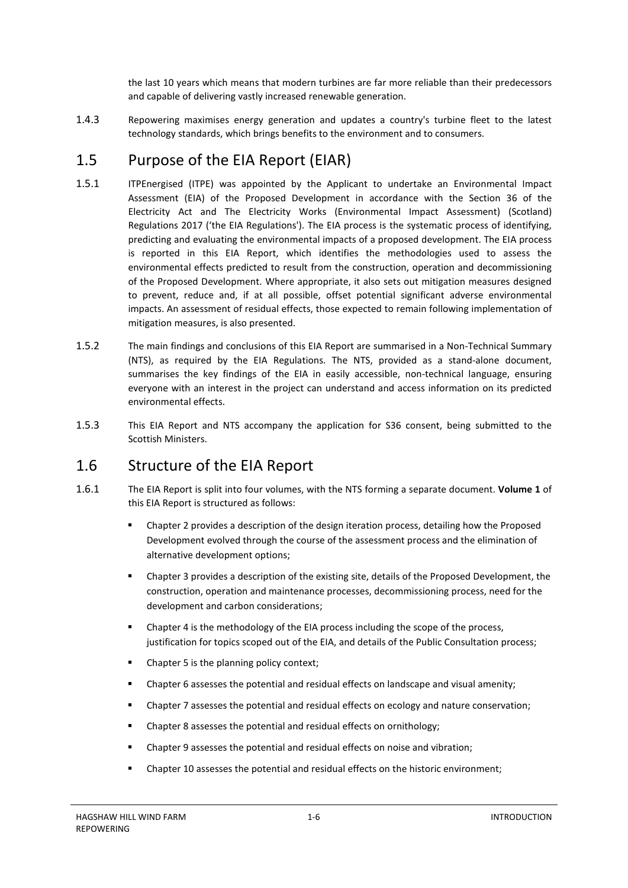the last 10 years which means that modern turbines are far more reliable than their predecessors and capable of delivering vastly increased renewable generation.

1.4.3 Repowering maximises energy generation and updates a country's turbine fleet to the latest technology standards, which brings benefits to the environment and to consumers.

### <span id="page-5-0"></span>1.5 Purpose of the EIA Report (EIAR)

- 1.5.1 ITPEnergised (ITPE) was appointed by the Applicant to undertake an Environmental Impact Assessment (EIA) of the Proposed Development in accordance with the Section 36 of the Electricity Act and The Electricity Works (Environmental Impact Assessment) (Scotland) Regulations 2017 ('the EIA Regulations'). The EIA process is the systematic process of identifying, predicting and evaluating the environmental impacts of a proposed development. The EIA process is reported in this EIA Report, which identifies the methodologies used to assess the environmental effects predicted to result from the construction, operation and decommissioning of the Proposed Development. Where appropriate, it also sets out mitigation measures designed to prevent, reduce and, if at all possible, offset potential significant adverse environmental impacts. An assessment of residual effects, those expected to remain following implementation of mitigation measures, is also presented.
- 1.5.2 The main findings and conclusions of this EIA Report are summarised in a Non-Technical Summary (NTS), as required by the EIA Regulations. The NTS, provided as a stand-alone document, summarises the key findings of the EIA in easily accessible, non-technical language, ensuring everyone with an interest in the project can understand and access information on its predicted environmental effects.
- 1.5.3 This EIA Report and NTS accompany the application for S36 consent, being submitted to the Scottish Ministers.

#### <span id="page-5-1"></span>1.6 Structure of the EIA Report

- 1.6.1 The EIA Report is split into four volumes, with the NTS forming a separate document. **Volume 1** of this EIA Report is structured as follows:
	- Chapter 2 provides a description of the design iteration process, detailing how the Proposed Development evolved through the course of the assessment process and the elimination of alternative development options;
	- Chapter 3 provides a description of the existing site, details of the Proposed Development, the construction, operation and maintenance processes, decommissioning process, need for the development and carbon considerations;
	- Chapter 4 is the methodology of the EIA process including the scope of the process, justification for topics scoped out of the EIA, and details of the Public Consultation process;
	- Chapter 5 is the planning policy context;
	- Chapter 6 assesses the potential and residual effects on landscape and visual amenity;
	- Chapter 7 assesses the potential and residual effects on ecology and nature conservation;
	- Chapter 8 assesses the potential and residual effects on ornithology;
	- Chapter 9 assesses the potential and residual effects on noise and vibration;
	- Chapter 10 assesses the potential and residual effects on the historic environment;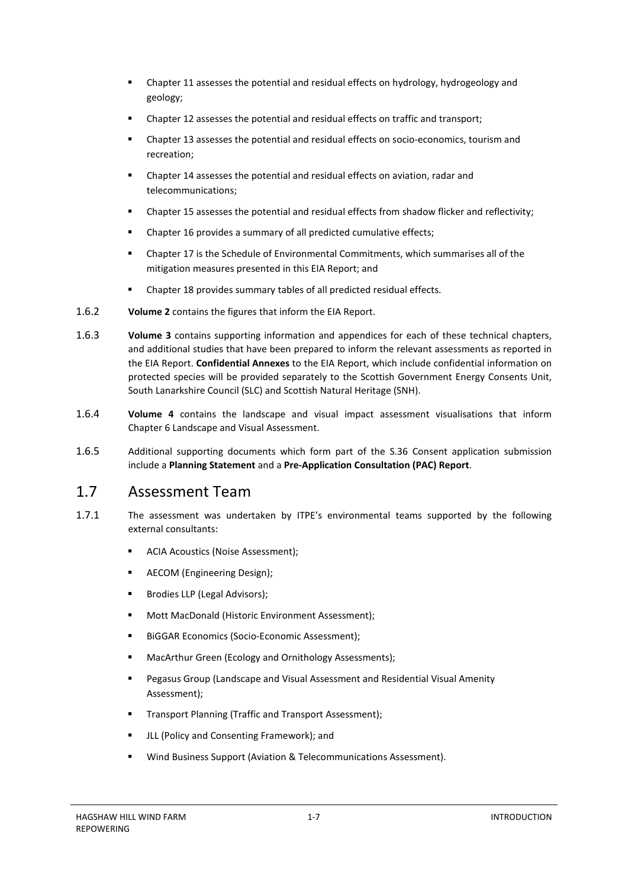- Chapter 11 assesses the potential and residual effects on hydrology, hydrogeology and geology;
- Chapter 12 assesses the potential and residual effects on traffic and transport;
- Chapter 13 assesses the potential and residual effects on socio-economics, tourism and recreation;
- Chapter 14 assesses the potential and residual effects on aviation, radar and telecommunications;
- Chapter 15 assesses the potential and residual effects from shadow flicker and reflectivity;
- Chapter 16 provides a summary of all predicted cumulative effects;
- Chapter 17 is the Schedule of Environmental Commitments, which summarises all of the mitigation measures presented in this EIA Report; and
- Chapter 18 provides summary tables of all predicted residual effects.
- 1.6.2 **Volume 2** contains the figures that inform the EIA Report.
- 1.6.3 **Volume 3** contains supporting information and appendices for each of these technical chapters, and additional studies that have been prepared to inform the relevant assessments as reported in the EIA Report. **Confidential Annexes** to the EIA Report, which include confidential information on protected species will be provided separately to the Scottish Government Energy Consents Unit, South Lanarkshire Council (SLC) and Scottish Natural Heritage (SNH).
- 1.6.4 **Volume 4** contains the landscape and visual impact assessment visualisations that inform Chapter 6 Landscape and Visual Assessment.
- 1.6.5 Additional supporting documents which form part of the S.36 Consent application submission include a **Planning Statement** and a **Pre-Application Consultation (PAC) Report**.

#### <span id="page-6-0"></span>1.7 Assessment Team

- 1.7.1 The assessment was undertaken by ITPE's environmental teams supported by the following external consultants:
	- **ACIA Acoustics (Noise Assessment);**
	- **AECOM** (Engineering Design);
	- **Brodies LLP (Legal Advisors);**
	- **Mott MacDonald (Historic Environment Assessment);**
	- **BIGGAR Economics (Socio-Economic Assessment);**
	- MacArthur Green (Ecology and Ornithology Assessments);
	- Pegasus Group (Landscape and Visual Assessment and Residential Visual Amenity Assessment);
	- **Transport Planning (Traffic and Transport Assessment);**
	- **ILL (Policy and Consenting Framework); and**
	- Wind Business Support (Aviation & Telecommunications Assessment).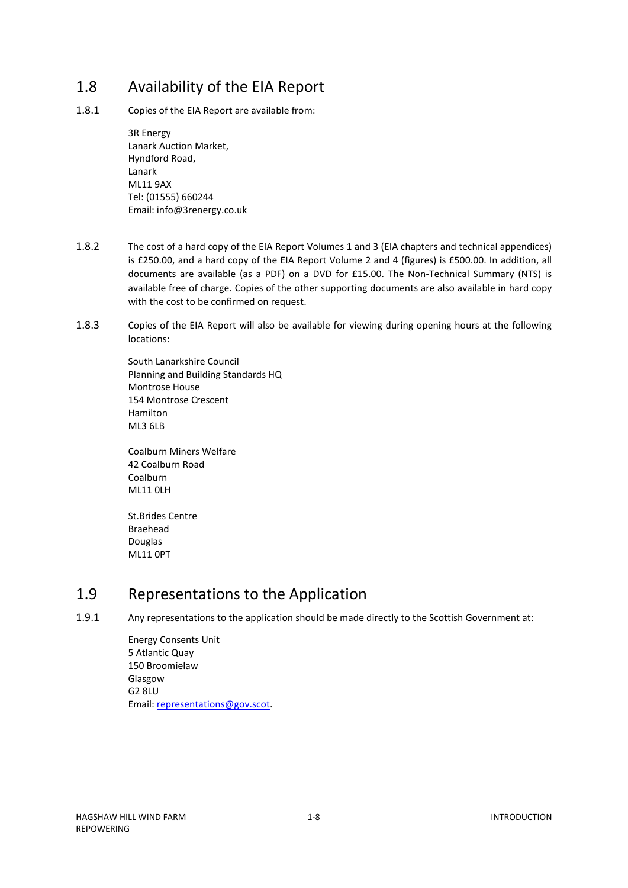# <span id="page-7-0"></span>1.8 Availability of the EIA Report

1.8.1 Copies of the EIA Report are available from:

3R Energy Lanark Auction Market, Hyndford Road, Lanark ML11 9AX Tel: (01555) 660244 Email: info@3renergy.co.uk

- 1.8.2 The cost of a hard copy of the EIA Report Volumes 1 and 3 (EIA chapters and technical appendices) is £250.00, and a hard copy of the EIA Report Volume 2 and 4 (figures) is £500.00. In addition, all documents are available (as a PDF) on a DVD for £15.00. The Non-Technical Summary (NTS) is available free of charge. Copies of the other supporting documents are also available in hard copy with the cost to be confirmed on request.
- 1.8.3 Copies of the EIA Report will also be available for viewing during opening hours at the following locations:

South Lanarkshire Council Planning and Building Standards HQ Montrose House 154 Montrose Crescent Hamilton ML3 6LB

Coalburn Miners Welfare 42 Coalburn Road Coalburn ML11 0LH

St.Brides Centre Braehead Douglas ML11 0PT

#### <span id="page-7-1"></span>1.9 Representations to the Application

1.9.1 Any representations to the application should be made directly to the Scottish Government at:

Energy Consents Unit 5 Atlantic Quay 150 Broomielaw Glasgow G2 8LU Email: [representations@gov.scot.](mailto:representations@gov.scot)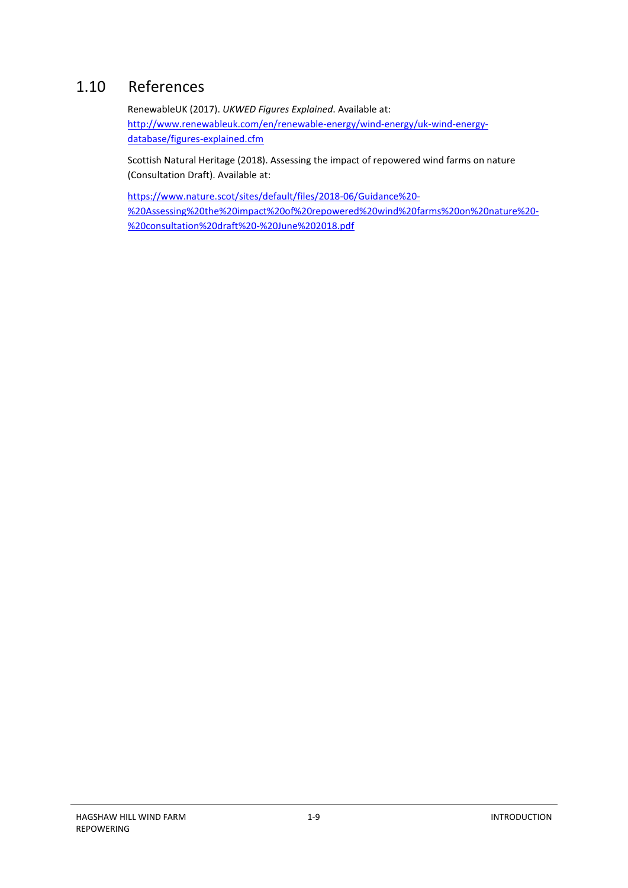# <span id="page-8-0"></span>1.10 References

RenewableUK (2017). *UKWED Figures Explained*. Available at: [http://www.renewableuk.com/en/renewable-energy/wind-energy/uk-wind-energy](http://www.renewableuk.com/en/renewable-energy/wind-energy/uk-wind-energy-database/figures-explained.cfm)[database/figures-explained.cfm](http://www.renewableuk.com/en/renewable-energy/wind-energy/uk-wind-energy-database/figures-explained.cfm)

Scottish Natural Heritage (2018). Assessing the impact of repowered wind farms on nature (Consultation Draft). Available at:

[https://www.nature.scot/sites/default/files/2018-06/Guidance%20-](https://www.nature.scot/sites/default/files/2018-06/Guidance%20-%20Assessing%20the%20impact%20of%20repowered%20wind%20farms%20on%20nature%20-%20consultation%20draft%20-%20June%202018.pdf) [%20Assessing%20the%20impact%20of%20repowered%20wind%20farms%20on%20nature%20-](https://www.nature.scot/sites/default/files/2018-06/Guidance%20-%20Assessing%20the%20impact%20of%20repowered%20wind%20farms%20on%20nature%20-%20consultation%20draft%20-%20June%202018.pdf) [%20consultation%20draft%20-%20June%202018.pdf](https://www.nature.scot/sites/default/files/2018-06/Guidance%20-%20Assessing%20the%20impact%20of%20repowered%20wind%20farms%20on%20nature%20-%20consultation%20draft%20-%20June%202018.pdf)